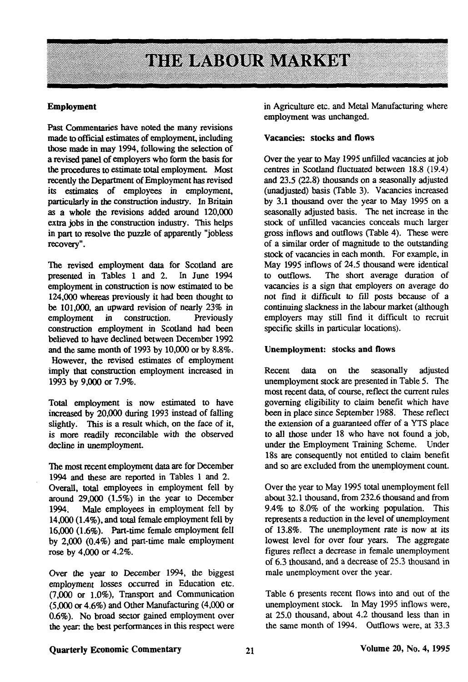# THE LABOUR MARKET

#### **Employment**

Past Commentaries have noted the many revisions made to official estimates of employment, including those made in may 1994, following the selection of a revised panel of employers who form the basis for the procedures to estimate total employment Most recently the Department of Employment has revised its estimates of employees in employment, particularly in the construction industry. In Britain as **a** whole the revisions added around 120,000 extra jobs in the construction industry. This helps in part to resolve the puzzle of apparently "jobless recovery".

The revised employment data for Scotland are<br>presented in Tables 1 and 2. In June 1994 presented in Tables 1 and 2. employment in construction is now estimated to be 124,000 whereas previously it had been thought to be 101,000, an upward revision of nearly 23% in employment in construction. Previously construction employment in Scotland had been believed to have declined between December 1992 and the same month of 1993 by 10,000 or by 8.8%. However, the revised estimates of employment imply that construction employment increased in 1993 by 9,000 or 7.9%.

Total employment is now estimated to have increased by 20,000 during 1993 instead of falling slightly. This is a result which, on the face of it, is more readily reconcilable with the observed decline in unemployment.

The most recent employment data are for December 1994 and these are reported in Tables 1 and 2. Overall, total employees in employment fell by around 29,000 (1.5%) in the year to December 1994. Male employees in employment fell by 14,000 (1.4%), and total female employment fell by 16,000 (1.6%). Part-time female employment fell by 2,000 (0.4%) and part-time male employment rose by 4,000 or 4.2%.

Over the year to December 1994, the biggest employment losses occurred in Education etc. (7,000 or 1.0%), Transport and Communication (5,000 or 4.6%) and Other Manufacturing (4,000 or 0.6%). No broad sector gained employment over the year, the best performances in this respect were in Agriculture etc. and Metal Manufacturing where employment was unchanged.

#### Vacancies: stocks **and** flows

Over the year to May 1995 unfilled vacancies at job centres in Scotland fluctuated between 18.8 (19.4) and 23.5 (22.8) thousands on a seasonally adjusted (unadjusted) basis (Table 3). Vacancies increased by 3.1 thousand over the year to May 1995 on a seasonally adjusted basis. The net increase in the stock of unfilled vacancies conceals much larger gross inflows and outflows (Table 4). These were of a similar order of magnitude to the outstanding stock of vacancies in each month. For example, in May 1995 inflows of 24.5 thousand were identical to outflows. The short average duration of vacancies is a sign that employers on average do not find it difficult to fill posts because of a continuing slackness in the labour market (although employers may still find it difficult to recruit specific skills in particular locations).

#### Unemployment: stocks **and** flows

Recent data on the seasonally adjusted unemployment stock are presented in Table 5. The most recent data, of course, reflect the current rules governing eligibility to claim benefit which have been in place since September 1988. These reflect the extension of a guaranteed offer of a YTS place to all those under 18 who have not found a job, under the Employment Training Scheme. Under 18s are consequently not entided to claim benefit and so are excluded from the unemployment count.

Over the year to May 1995 total unemployment fell about 32.1 thousand, from 232.6 thousand and from 9.4% to 8.0% of the working population. This represents a reduction in the level of unemployment of 13.8%. The unemployment rate is now at its lowest level for over four years. The aggregate figures reflect a decrease in female unemployment of 6.3 thousand, and a decrease of 25.3 thousand in male unemployment over the year.

Table 6 presents recent flows into and out of the unemployment stock. In May 1995 inflows were, at 25.0 thousand, about 4.2 thousand less than in the same month of 1994. Outflows were, at 33.3

## **Quarterly Economic Commentary 21** 21 Volume 20, No. 4, 1995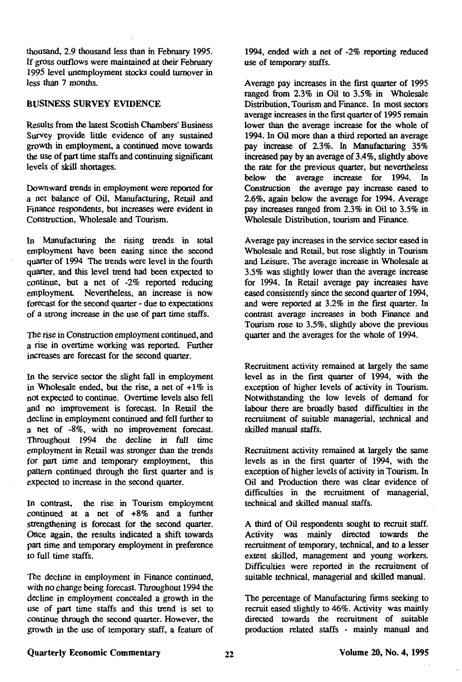thousand, 2.9 thousand less than in February 1995. If gross outflows were maintained at dieir February 1995 level unemployment stocks could turnover in less than 7 months.

# BUSINESS SURVEY EVIDENCE

Results from the latest Scottish Chambers' Business Survey provide little evidence of any sustained growth in employment, a continued move towards the use of part time staffs and continuing significant levels of skill shortages.

Downward trends in employment were reported for a net balance of Oil, Manufacturing, Retail and Finance respondents, but increases were evident in Construction, Wholesale and Tourism.

In Manufacturing the rising trends in total employment have been easing since the second quarter of 1994 The trends were level in the fourth quarter, and this level trend had been expected to continue, but a net of -2% reported reducing employment Nevertheless, an increase is now forecast for the second quarter - due to expectations of a strong increase in the use of part time staffs.

The rise in Construction employment continued, and a rise in overtime working was reported. Further increases are forecast for the second quarter.

In the service sector the slight fall in employment in Wholesale ended, but the rise, a net of  $+1\%$  is not expected to continue. Overtime levels also fell and no improvement is forecast. In Retail the decline in employment continued and fell further to a net of -8%, with no improvement forecast. Throughout 1994 the decline in full time employment in Retail was stronger than the trends for part time and temporary employment, this pattern continued through the first quarter and is expected to increase in the second quarter.

In contrast, the rise in Tourism employment continued at a net of +8% and a further strengthening is forecast for the second quarter. Once again, the results indicated a shift towards part time and temporary employment in preference to full time staffs.

The decline in employment in Finance continued, with no change being forecast. Throughout 1994 the decline in employment concealed a growth in the use of part time staffs and this trend is set to continue through the second quarter. However, the growth in the use of temporary staff, a feature of

1994, ended with a net of -2% reporting reduced use of temporary staffs.

Average pay increases in the first quarter of 1995 ranged from 2.3% in Oil to 3.5% in Wholesale Distribution, Tourism and Finance. In most sectors average increases in the first quarter of 1995 remain lower than the average increase for the whole of 1994. In Oil more than a third reported an average pay increase of 2.3%. In Manufacturing 35% increased pay by an average of 3.4%, slightly above the rate for the previous quarter, but nevertheless below the average increase for 1994. In Construction the average pay increase eased to 2.6%, again below the average for 1994. Average pay increases ranged from 2.3% in Oil to 3.5% in Wholesale Distribution, tourism and Finance.

Average pay increases in the service sector eased in Wholesale and Retail, but rose slightly in Tourism and Leisure. The average increase in Wholesale at 3.5% was slightly lower than the average increase for 1994. In Retail average pay increases have eased consistently since the second quarter of 1994, and were reported at 3.2% in the first quarter. In contrast average increases in both Finance and Tourism rose to 3.5%, slightly above the previous quarter and the averages for the whole of 1994.

Recruitment activity remained at largely the same level as in the first quarter of 1994, with the exception of higher levels of activity in Tourism. Notwithstanding the low levels of demand for labour there are broadly based difficulties in the recruitment of suitable managerial, technical and skilled manual staffs.

Recruitment activity remained at largely the same levels as in the first quarter of 1994, with the exception of higher levels of activity in Tourism. In Oil and Production there was clear evidence of difficulties in the recruitment of managerial, technical and skilled manual staffs.

A third of Oil respondents sought to recruit staff. Activity was mainly directed towards the recruitment of temporary, technical, and to a lesser extent skilled, management and young workers. Difficulties were reported in the recruitment of suitable technical, managerial and skilled manual.

The percentage of Manufacturing firms seeking to recruit eased slightly to 46%. Activity was mainly directed towards the recruitment of suitable production related staffs - mainly manual and

### **Quarterly Economic Commentary Volume 20, No. 4, 1995**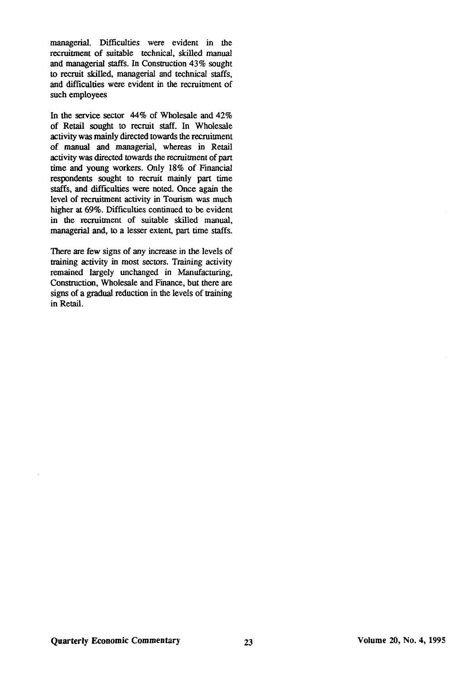managerial. Difficulties were evident in the recruitment of suitable technical, skilled manual and managerial staffs. In Construction 43% sought to recruit skilled, managerial and technical staffs, and difficulties were evident in the recruitment of such employees

In the service sector 44% of Wholesale and 42% of Retail sought to recruit staff. In Wholesale activity was mainly directed towards the recruitment of manual and managerial, whereas in Retail activity was directed towards the recruitment of part time and young workers. Only 18% of Financial respondents sought to recruit mainly part time staffs, and difficulties were noted. Once again the level of recruitment activity in Tourism was much higher at 69%. Difficulties continued to be evident in the recruitment of suitable skilled manual, managerial and, to a lesser extent, part time staffs.

There are few signs of any increase in the levels of training activity in most sectors. Training activity remained largely unchanged in Manufacturing, Construction, Wholesale and Finance, but there are signs of a gradual reduction in the levels of training in Retail.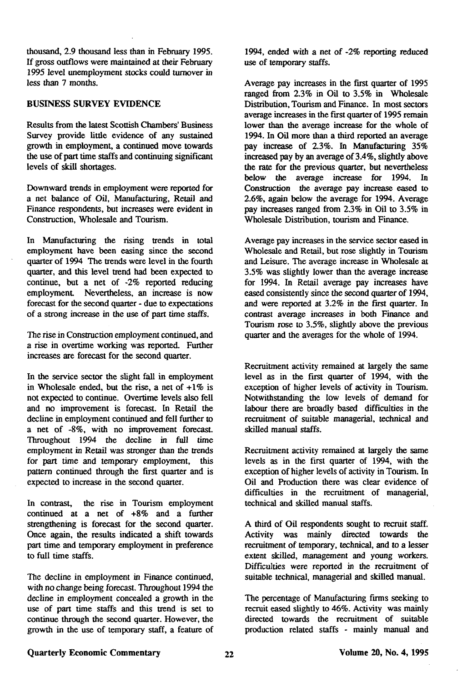thousand, 2.9 thousand less than in February 1995. If gross outflows were maintained at their February 1995 level unemployment stocks could turnover in less than 7 months.

# BUSINESS **SURVEY** EVIDENCE

Results from the latest Scottish Chambers' Business Survey provide little evidence of any sustained growth in employment, a continued move towards the use of part time staffs and continuing significant levels of skill shortages.

Downward trends in employment were reported for a net balance of Oil, Manufacturing, Retail and Finance respondents, but increases were evident in Construction, Wholesale and Tourism.

In Manufacturing the rising trends in total employment have been easing since the second quarter of 1994 The trends were level in the fourth quarter, and this level trend had been expected to continue, but a net of -2% reported reducing employment. Nevertheless, an increase is now forecast for the second quarter - due to expectations of a strong increase in the use of part time staffs.

The rise in Construction employment continued, and a rise in overtime working was reported. Further increases are forecast for the second quarter.

In the service sector the slight fall in employment in Wholesale ended, but the rise, a net of  $+1\%$  is not expected to continue. Overtime levels also fell and no improvement is forecast. In Retail the decline in employment continued and fell further to a net of -8%, with no improvement forecast. Throughout 1994 the decline in full time employment in Retail was stronger than the trends for part time and temporary employment, this pattern continued through the first quarter and is expected to increase in the second quarter.

In contrast, the rise in Tourism employment continued at a net of +8% and a further strengthening is forecast for the second quarter. Once again, the results indicated a shift towards part time and temporary employment in preference to full time staffs.

The decline in employment in Finance continued, with no change being forecast. Throughout 1994 the decline in employment concealed a growth in the use of part time staffs and this trend is set to continue through the second quarter. However, the growth in the use of temporary staff, a feature of

1994, ended with a net of -2% reporting reduced use of temporary staffs.

Average pay increases in the first quarter of 1995 ranged from 2.3% in Oil to 3.5% in Wholesale Distribution, Tourism and Finance. In most sectors average increases in the first quarter of 1995 remain lower than the average increase for the whole of 1994. In Oil more than a third reported an average pay increase of 2.3%. In Manufacturing 35% increased pay by an average of 3.4%, slightly above the rate for the previous quarter, but nevertheless below the average increase for 1994. In Construction the average pay increase eased to 2.6%, again below the average for 1994. Average pay increases ranged from 2.3% in Oil to 3.5% in Wholesale Distribution, tourism and Finance.

Average pay increases in the service sector eased in Wholesale and Retail, but rose slightly in Tourism and Leisure. The average increase in Wholesale at 3.5% was slighdy lower than the average increase for 1994. In Retail average pay increases have eased consistendy since the second quarter of 1994, and were reported at 3.2% in the first quarter. In contrast average increases in both Finance and Tourism rose to 3.5%, slightly above the previous quarter and the averages for the whole of 1994.

Recruitment activity remained at largely the same level as in the first quarter of 1994, with the exception of higher levels of activity in Tourism. Notwithstanding die low levels of demand for labour there are broadly based difficulties in the recruitment of suitable managerial, technical and skilled manual staffs.

Recruitment activity remained at largely the same levels as in the first quarter of 1994, with the exception of higher levels of activity in Tourism. In Oil and Production there was clear evidence of difficulties in the recruitment of managerial, technical and skilled manual staffs.

A third of Oil respondents sought to recruit staff. Activity was mainly directed towards the recruitment of temporary, technical, and to a lesser extent skilled, management and young workers. Difficulties were reported in the recruitment of suitable technical, managerial and skilled manual.

The percentage of Manufacturing firms seeking to recruit eased slighdy to 46%. Activity was mainly directed towards the recruitment of suitable production related staffs - mainly manual and

## Quarterly Economic Commentary 22 **Volume 20, No. 4, 1995**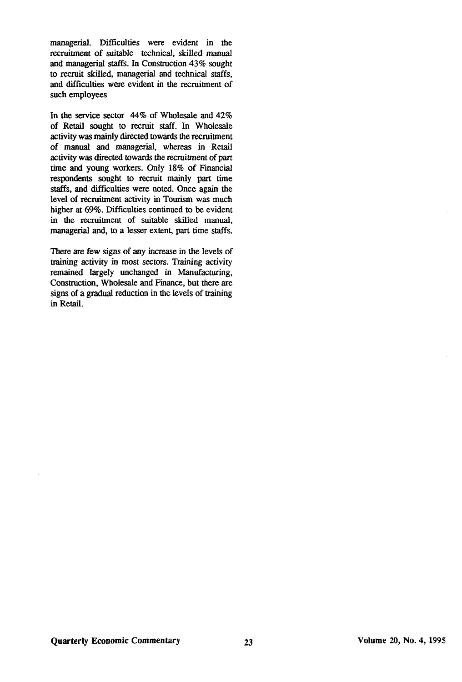managerial. Difficulties were evident in the recruitment of suitable technical, skilled manual and managerial staffs. In Construction 43% sought to recruit skilled, managerial and technical staffs, and difficulties were evident in the recruitment of such employees

In the service sector 44% of Wholesale and 42% of Retail sought to recruit staff. In Wholesale activity was mainly directed towards the recruitment of manual and managerial, whereas in Retail activity was directed towards the recruitment of part time and young workers. Only 18% of Financial respondents sought to recruit mainly part time staffs, and difficulties were noted. Once again the level of recruitment activity in Tourism was much higher at 69%. Difficulties continued to be evident in the recruitment of suitable skilled manual, managerial and, to a lesser extent, part time staffs.

There are few signs of any increase in the levels of training activity in most sectors. Training activity remained largely unchanged in Manufacturing, Construction, Wholesale and Finance, but there are signs of a gradual reduction in the levels of training in Retail.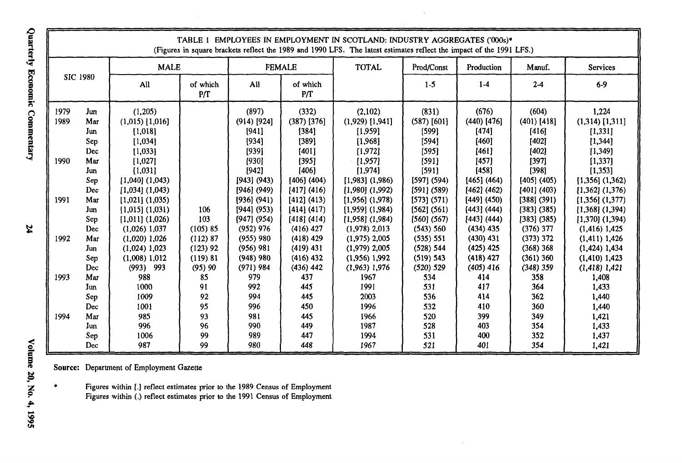|                                                      |                                                                                                                                                                |                                                                                                                                                                                                                                                                                                                                       |                                                                                                     |                                                                                                                                                                                                                                                        |                                                                                                                                                                                                                                                                | TABLE 1 EMPLOYEES IN EMPLOYMENT IN SCOTLAND: INDUSTRY AGGREGATES ('000s)*<br>(Figures in square brackets reflect the 1989 and 1990 LFS. The latest estimates reflect the impact of the 1991 LFS.)                                                                                                                                             |                                                                                                                                                                                                                                                    |                                                                                                                                                                                                                                                              |                                                                                                                                                                                                                                                              |                                                                                                                                                                                                                                                                                                                                                      |  |
|------------------------------------------------------|----------------------------------------------------------------------------------------------------------------------------------------------------------------|---------------------------------------------------------------------------------------------------------------------------------------------------------------------------------------------------------------------------------------------------------------------------------------------------------------------------------------|-----------------------------------------------------------------------------------------------------|--------------------------------------------------------------------------------------------------------------------------------------------------------------------------------------------------------------------------------------------------------|----------------------------------------------------------------------------------------------------------------------------------------------------------------------------------------------------------------------------------------------------------------|-----------------------------------------------------------------------------------------------------------------------------------------------------------------------------------------------------------------------------------------------------------------------------------------------------------------------------------------------|----------------------------------------------------------------------------------------------------------------------------------------------------------------------------------------------------------------------------------------------------|--------------------------------------------------------------------------------------------------------------------------------------------------------------------------------------------------------------------------------------------------------------|--------------------------------------------------------------------------------------------------------------------------------------------------------------------------------------------------------------------------------------------------------------|------------------------------------------------------------------------------------------------------------------------------------------------------------------------------------------------------------------------------------------------------------------------------------------------------------------------------------------------------|--|
|                                                      |                                                                                                                                                                | <b>MALE</b>                                                                                                                                                                                                                                                                                                                           |                                                                                                     |                                                                                                                                                                                                                                                        | <b>FEMALE</b>                                                                                                                                                                                                                                                  | <b>TOTAL</b>                                                                                                                                                                                                                                                                                                                                  | Prod/Const                                                                                                                                                                                                                                         | Production                                                                                                                                                                                                                                                   | Manuf.                                                                                                                                                                                                                                                       | Services                                                                                                                                                                                                                                                                                                                                             |  |
|                                                      | <b>SIC 1980</b>                                                                                                                                                | All                                                                                                                                                                                                                                                                                                                                   | of which<br>P/T                                                                                     | All                                                                                                                                                                                                                                                    | of which<br>P/T                                                                                                                                                                                                                                                |                                                                                                                                                                                                                                                                                                                                               | $1-5$                                                                                                                                                                                                                                              | $1-4$                                                                                                                                                                                                                                                        | $2-4$                                                                                                                                                                                                                                                        | 6.9                                                                                                                                                                                                                                                                                                                                                  |  |
| 1979<br>1989<br>1990<br>1991<br>1992<br>1993<br>1994 | Jun<br>Mar<br>Jun<br>Sep<br><b>Dec</b><br>Mar<br>Jun<br>Sep<br>Dec<br>Mar<br>Jun<br>Sep<br>Dec<br>Mar<br>Jun<br>Sep<br>Dec.<br>Mar<br>Jun<br>Sep<br>Dec<br>Mar | (1,205)<br>$(1,015)$ [1,016]<br>[1,018]<br>[1,034]<br>[1,033]<br>[1,027]<br>[1,031]<br>$[1,040]$ $(1,043)$<br>$[1,034]$ $(1,043)$<br>$[1,021]$ $(1,035)$<br>$[1,015]$ $(1,031)$<br>$[1,011]$ $(1,026)$<br>(1.026) 1.037<br>$(1.020)$ 1.026<br>$(1,024)$ 1,023<br>$(1,008)$ 1,012<br>$(993)$ 993<br>988<br>1000<br>1009<br>1001<br>985 | 106<br>103<br>(105)85<br>(112) 87<br>$(123)$ 92<br>(119) 81<br>(95)90<br>85<br>91<br>92<br>95<br>93 | (897)<br>$(914)$ [924]<br>19411<br>[934]<br>[939]<br>[930]<br>[942]<br>[943] (943)<br>$[946]$ (949)<br>[936] (941)<br>[944] (953)<br>[947] (954)<br>(952) 976<br>(955) 980<br>(956) 981<br>$(948)$ 980<br>(971) 984<br>979<br>992<br>994<br>996<br>981 | (332)<br>$(387)$ [376]<br>[384]<br>[389]<br>[401]<br>[395]<br>[406]<br>$[406]$ (404)<br>[417] (416)<br>[412] (413)<br>[414] (417)<br>[418] (414)<br>$(416)$ 427<br>$(418)$ 429<br>$(419)$ 431<br>$(416)$ 432<br>$(436)$ 442<br>437<br>445<br>445<br>450<br>445 | (2.102)<br>$(1,929)$ [1,941]<br>[1,959]<br>[1.968]<br>[1,972]<br>[1,957]<br>[1,974]<br>$[1,983]$ $(1,986)$<br>$[1,980]$ $(1,992)$<br>$[1,956]$ $(1,978)$<br>$[1,959]$ $(1,984)$<br>$[1,958]$ $(1,984)$<br>$(1,978)$ 2,013<br>$(1.975)$ 2,005<br>$(1.979)$ 2,005<br>$(1,956)$ 1,992<br>$(1,963)$ 1,976<br>1967<br>1991<br>2003<br>1996<br>1966 | (831)<br>$(587)$ [601]<br>[599]<br>[594]<br>[595]<br>[591]<br>[591]<br>[597] (594)<br>[591] (589)<br>[573] (571)<br>[562] (561)<br>[560] (567)<br>(543) 560<br>(535) 551<br>(528) 544<br>(519) 543<br>(520) 529<br>534<br>531<br>536<br>532<br>520 | (676)<br>$(440)$ [476]<br>[474]<br>[460]<br>[461]<br>[457]<br>[458]<br>[465] (464)<br>[462] (462)<br>[449] (450)<br>[443] (444)<br>[443] (444)<br>$(434)$ 435<br>$(430)$ 431<br>$(425)$ 425<br>$(418)$ 427<br>$(405)$ 416<br>414<br>417<br>414<br>410<br>399 | (604)<br>$(401)$ [418]<br>[416]<br>[402]<br>[402]<br>[397]<br>[398]<br>[405] (405)<br>[401] (403)<br>$[388]$ (391)<br>$[383]$ (385)<br>$[383]$ (385)<br>$(376)$ 377<br>(373) 372<br>(368) 368<br>$(361)$ 360<br>(348) 359<br>358<br>364<br>362<br>360<br>349 | 1,224<br>$(1,314)$ [1,311]<br>[1,331]<br>[1, 344]<br>[1, 349]<br>[1,337]<br>[1, 353]<br>$[1,356]$ $(1,362)$<br>$[1,362]$ $(1,376)$<br>$[1,356]$ $(1,377)$<br>$[1,368]$ $(1,394)$<br>$[1,370]$ (1,394)<br>$(1, 416)$ 1,425<br>$(1,411)$ 1,426<br>$(1, 424)$ 1,434<br>$(1, 410)$ 1,423<br>$(1,418)$ 1,421<br>1,408<br>1,433<br>1,440<br>1,440<br>1,421 |  |
|                                                      | Jun<br>Sep<br>Dec                                                                                                                                              | 996<br>1006<br>987                                                                                                                                                                                                                                                                                                                    | 96<br>99<br>99                                                                                      | 990<br>989<br>980                                                                                                                                                                                                                                      | 449<br>447<br>448                                                                                                                                                                                                                                              | 1987<br>1994<br>1967                                                                                                                                                                                                                                                                                                                          | 528<br>531<br>521                                                                                                                                                                                                                                  | 403<br>400<br>401                                                                                                                                                                                                                                            | 354<br>352<br>354                                                                                                                                                                                                                                            | 1,433<br>1,437<br>1,421                                                                                                                                                                                                                                                                                                                              |  |

Source: Department of Employment Gazette

 $\bullet$ Figures within [.] reflect estimates prior to the 1989 Census of Employment Figures within (.) reflect estimates prior to the 1991 Census of Employment

Quarterly Economic Commentary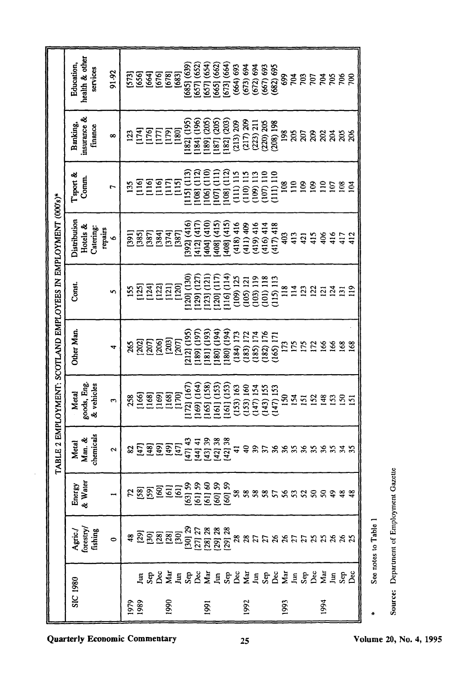|                                                             | health & other<br>Education,<br>services<br>91-92                                                                                    | ក្ត្រី<br>កូនី ភូមិ នី នី<br>កូនី ភូមិ ភូមិ |                            |       |                |        | $[685]$ $(639)$ | 657] (652       | 657] (654       | 665] (662) | 673] (664)               | (664) 693     | $(673)$ 694<br>$(672)$ 694<br>$(667)$ 693                                |           |               | (682) 695     | 699             |                 | $\frac{56}{20}$ | <b>107</b>       | इंइइ             |                 |                   | 50 <sub>0</sub> |
|-------------------------------------------------------------|--------------------------------------------------------------------------------------------------------------------------------------|---------------------------------------------|----------------------------|-------|----------------|--------|-----------------|-----------------|-----------------|------------|--------------------------|---------------|--------------------------------------------------------------------------|-----------|---------------|---------------|-----------------|-----------------|-----------------|------------------|------------------|-----------------|-------------------|-----------------|
|                                                             | insurance &<br>Banking,<br>finance<br>$\infty$                                                                                       | $\mathbf{E}$                                | ESEE                       |       |                | [180]  | 1821 (195)      | 184] (196)      | 189] (205)      | 187] (205) | [182] (203)<br>(213) 209 |               | $\begin{array}{c} (217) \ 209 \\ (223) \ 211 \\ (220) \ 205 \end{array}$ |           |               | $(208)$ 198   | 198             | 205             | 207             | 209              | ನೆ ಸ             |                 | 205               | 206             |
|                                                             | l'sport &<br>Comm.<br>r                                                                                                              | 135                                         | $\frac{16}{11}$            |       | ESES           |        | 115] (113)      | 108] (112)      | 106] (110)      | 107] (111) | 108] (112)               | $(111)$ $115$ | $(110) 115$<br>$(109) 113$                                               |           | (107) 110     | 111) 110      | $\frac{8}{100}$ | $\frac{6}{110}$ | $\frac{8}{2}$   | $\geq$           | $\frac{10}{107}$ |                 | $\overline{108}$  | $\mathbf{z}$    |
|                                                             | Distribution<br>Hotels &<br>Catering:<br>repairs<br>$\bullet$                                                                        | $\overline{1391}$                           | ន្ទ្រា<br>ខេត្ត<br>ខេត្ត   |       |                | [387]  | 392] (416)      | 412] (417)      | $(410)$ $(410)$ | 408] (415) | 408] (415)               | (418)416      | (411)409                                                                 | (419)416  | $(416)$ 414   | $(417)$ 418   | 403             | 413             | 421             | 415              | 406              |                 | $416$<br>$417$    | 412             |
|                                                             | Const.<br>S                                                                                                                          | 155                                         | <b>EEEE</b>                |       |                | [120]  | $[120]$ $(130)$ | 129) (127       | 123] (121       | 120] (117  | 116] (114)               | (109) 125     | (105) 121                                                                | (103) 119 | $(101)$ $118$ | $(115)$ $113$ | $\frac{8}{118}$ | $\frac{14}{11}$ | $\overline{2}$  | 122              | $\overline{2}$   | $\frac{24}{21}$ |                   | $\frac{1}{2}$   |
| BLE 2 EMPLOYMENT: SCOTLAND EMPLOYEES IN EMPLOYMENT (000's)* | Other Man.<br>4                                                                                                                      | 265                                         | គ្គ <u>្គ</u><br>ខ្ពុន្ត្ត |       | [203]          | [207]  | 212] (195)      | 189] (197       | 181] (193)      | 180] (194) | 180] (194)               | (184) 173     | (183) 172                                                                | (185) 174 | (182) 176     | (165) 171     | 173             | <b>SLI</b>      | 175             | $\overline{172}$ |                  |                 | 166<br>168<br>168 |                 |
|                                                             | goods, Eng.<br>& vehicles<br>Metal<br>3                                                                                              | 258                                         | $\frac{166}{168}$          | [169] | [168]          | [170]  | 172] (167)      | $(169)$ $(164)$ | 165] (158)      | 161] (153) | 161] (153)               | (153) 163     | (153) 160                                                                | (147) 154 | (143) 155     | (147) 153     | $\frac{8}{1}$   | $\overline{54}$ | $\overline{5}$  | 152              | $\frac{48}{5}$   |                 | 555               |                 |
| Ě                                                           | chemicals<br>Man. &<br>Metal<br>2                                                                                                    | 23                                          | <u>asa</u>                 |       | $\overline{2}$ | $[47]$ | [47] 43         | [44] 41         | [43] 39         | [42] 38    | [42] 38                  | ₹             | ₽                                                                        | 39        | 57            | 36            |                 |                 | 388             |                  |                  |                 | 55535             |                 |
|                                                             | Energy<br>& Water                                                                                                                    |                                             |                            |       |                |        |                 |                 |                 |            |                          |               |                                                                          |           |               |               |                 |                 |                 |                  |                  |                 |                   |                 |
|                                                             | $\begin{array}{l} \mathbf{A}\mathbf{g}\text{ric} / \\ \mathbf{0}\text{restry} / \\ \mathbf{f}\text{ishing} \end{array}$<br>$\bullet$ |                                             |                            |       |                |        |                 |                 |                 |            |                          |               |                                                                          |           |               |               |                 |                 |                 |                  |                  |                 |                   |                 |
|                                                             | SIC 1980                                                                                                                             | 1979<br>1989                                | ESSZERSZERSZERSZERSZERSZ   |       | 1990           |        |                 |                 | 1991            |            |                          |               | 1992                                                                     |           |               |               | 1993            |                 |                 |                  | 1994             |                 |                   |                 |

Source: Department of Employment Gazette

See notes to Table 1

 $\ddot{}$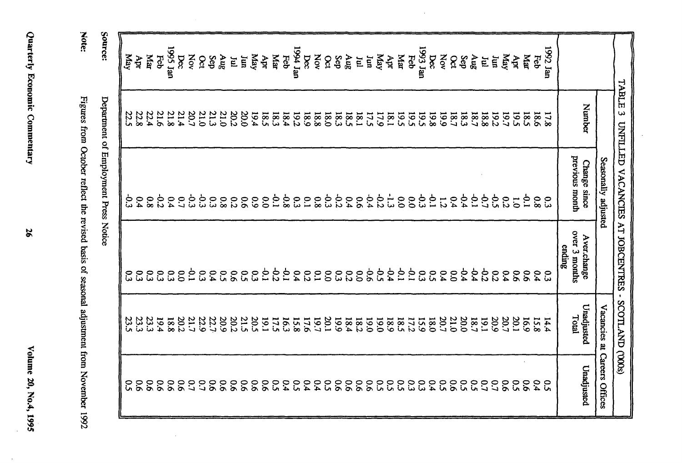| Source:                               | Yay  | Apr               | <b>RM</b>        | Feb              | <b>1995</b> Jan | bec            | XOV                  | $\infty$ | Sep  | 3nV                  | $\mathbf{E}$    | Iun            | May             | Apr            | Mar        | Feb               | uer 1991    | $\alpha$       | XOV         | $\delta$       | Sep              | <b>Aug</b>     | E            | Ξ    | Yay  | Apr          | ща                   | Feb  | 1993 Jan | bec         | Nov            | $\delta$             | $\frac{\text{Aug}}{\text{Sep}}$ | Ē    | ធារ្           | Yay            | Apr             | даг                  | Feb         | 1992 Jan |                                        |        |                              |                                  |
|---------------------------------------|------|-------------------|------------------|------------------|-----------------|----------------|----------------------|----------|------|----------------------|-----------------|----------------|-----------------|----------------|------------|-------------------|-------------|----------------|-------------|----------------|------------------|----------------|--------------|------|------|--------------|----------------------|------|----------|-------------|----------------|----------------------|---------------------------------|------|----------------|----------------|-----------------|----------------------|-------------|----------|----------------------------------------|--------|------------------------------|----------------------------------|
|                                       | 22.5 | 22.8              | 22.4             | 21.6             | 21.8            | 21.4           | 20.7                 | 21.0     | 21.3 | 21.0                 | 20.2            | 0.02           | 19.4            | 18.5           | 18.3       | 18.4              | <b>19.2</b> | <b>681</b>     | 18.8        | <b>0.81</b>    | 18.3             | 581            | 18.1         | 17.5 | 17.9 | 19.5<br>18.1 |                      | 19.5 |          | 861         | <b>661</b>     | 183<br>18.7          | 18.7                            | 881  | 19.2           | 19.5           |                 | 185                  | <b>18.6</b> | 17.8     |                                        | Number |                              | TABLE<br>ω                       |
| Department of Employment Press Notice |      | $\frac{0.9}{3.3}$ | $\overline{8}$   | $\mathcal{C}$    | 0.4             |                | 8 8 9 9 9<br>9 9 9 9 |          |      | 8.0                  | 0.2             | $\overline{5}$ | $60^{\circ}$    | $\mathbf{c}$   | $\ddot{c}$ | 9.8               | 53          | 32.581         |             |                |                  | 6.4            | $50^{\circ}$ |      | 1557 |              | $\tilde{\mathrm{c}}$ | 885  |          |             | $\overline{z}$ |                      |                                 |      | 652244         | $\overline{c}$ | $\overline{0}$  | $\ddot{\circ}$       | 8.0         | ္မ       | previous month<br>Change since         |        | Seasonally adjusted          | UNFILLED VACANCIES AT JOBCENTRES |
|                                       |      | 0.3               | $\tilde{\bm{c}}$ | $\tilde{\omega}$ | 33              | $\overline{0}$ | 5                    | ္ပ       | 6.4  | $\tilde{\mathbf{c}}$ | $\overline{90}$ | င္ပ            | 53              | $\overline{5}$ | 55         | $\tilde{\varphi}$ | 64          | $\overline{c}$ | $\tilde{c}$ | $\overline{0}$ | $\tilde{\omega}$ | $\overline{c}$ | $\tilde{c}$  | 9.6  | ີ່   | 6.4          | $\mathcal{L}$        | 0.31 |          | $5^{\circ}$ | 6.4            | 44<br>$\overline{0}$ | $-9.4$                          | 22   | $\overline{c}$ | 64             | $\overline{90}$ | $\mathbf{5}^{\circ}$ | 0.4         | င္ပ      | over 3 months<br>Aver.change<br>ending |        |                              |                                  |
|                                       | 23.5 | 23.3              | 23.3             | 19.4             | <b>18.8</b>     | 20.2           | 22.9<br>21.7         |          | 22.7 | 20.9                 | 20.2            | 21.5           | 20.5            | 19.1           | 17.5       | 16.3              | 15.8        | 17.6           | 19.7        | 20.1           | 661              | 18.4           | 18.2         | 061  | 0.01 | 18.9         | 581                  | 17.2 | 15.9     | 18.0        | 20.7           | 21.0<br>20.0         | 18.7                            | 19.1 | 20.9           | 20.7           | 20.1            | 6.91                 | 15.8        | 14.4     | Unadjusted<br>Total                    |        |                              | SCOTLAND (000s)                  |
|                                       |      |                   |                  |                  |                 |                |                      |          |      |                      | $\frac{50}{20}$ |                | $\overline{90}$ | $90^{\circ}$   |            |                   |             |                |             |                |                  |                | 2222         |      |      | 50           |                      | 0.3  |          |             |                |                      |                                 |      | 00000001       | <b>88888</b>   |                 |                      |             |          | Unadjusted                             |        | Vacancies at Careers Offices |                                  |

Figures from October reflect the revised basis of seasonal adjustment from November 1992

 $\bar{z}$ 

Note:

Quarterly Economic Commentary

56

Volume 20, No.4, 1995

 $\lambda$ 

÷.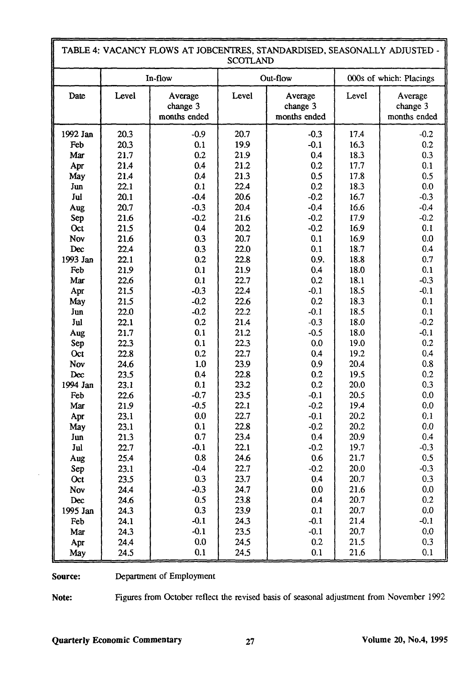|                 | TABLE 4: VACANCY FLOWS AT JOBCENTRES, STANDARDISED, SEASONALLY ADJUSTED -<br><b>SCOTLAND</b> |                                     |              |                                     |                         |                                     |  |  |  |  |  |
|-----------------|----------------------------------------------------------------------------------------------|-------------------------------------|--------------|-------------------------------------|-------------------------|-------------------------------------|--|--|--|--|--|
|                 |                                                                                              | In-flow                             |              | Out-flow                            | 000s of which: Placings |                                     |  |  |  |  |  |
| Date            | Level                                                                                        | Average<br>change 3<br>months ended | Level        | Average<br>change 3<br>months ended | Level                   | Average<br>change 3<br>months ended |  |  |  |  |  |
| 1992 Jan        | 20.3                                                                                         | $-0.9$                              | 20.7         | $-0.3$                              | 17.4                    | $-0.2$                              |  |  |  |  |  |
| Feb             | 20.3                                                                                         | 0.1                                 | 19.9         | $-0.1$                              | 16.3                    | 0.2                                 |  |  |  |  |  |
| Mar             | 21.7                                                                                         | 0.2                                 | 21.9         | 0.4                                 | 18.3                    | 0.3                                 |  |  |  |  |  |
| Apr             | 21.4                                                                                         | 0.4                                 | 21.2         | 0.2                                 | 17.7                    | 0.1                                 |  |  |  |  |  |
| May             | 21.4                                                                                         | 0.4                                 | 21.3         | 0.5                                 | 17.8                    | 0.5                                 |  |  |  |  |  |
| Jun             | 22.1                                                                                         | 0.1                                 | 22.4         | 0.2                                 | 18.3                    | 0.0                                 |  |  |  |  |  |
| Jul             | 20.1                                                                                         | $-0.4$                              | 20.6         | $-0.2$                              | 16.7                    | $-0.3$                              |  |  |  |  |  |
| Aug             | 20.7                                                                                         | $-0.3$                              | 20.4         | $-0.4$                              | 16.6                    | $-0.4$                              |  |  |  |  |  |
| Sep             | 21.6                                                                                         | $-0.2$                              | 21.6         | $-0.2$                              | 17.9                    | $-0.2$                              |  |  |  |  |  |
| Oct             | 21.5                                                                                         | 0.4                                 | 20.2         | $-0.2$                              | 16.9                    | 0.1                                 |  |  |  |  |  |
| Nov             | 21.6                                                                                         | 0.3                                 | 20.7         | 0.1                                 | 16.9                    | $0.0\,$                             |  |  |  |  |  |
| Dec             | 22.4                                                                                         | 0.3                                 | 22.0         | 0.1                                 | 18.7                    | 0.4                                 |  |  |  |  |  |
| 1993 Jan        | 22.1                                                                                         | 0.2                                 | 22.8         | 0.9.                                | 18.8                    | 0.7                                 |  |  |  |  |  |
| Feb             | 21.9                                                                                         | 0.1                                 | 21.9         | 0.4                                 | 18.0                    | 0.1                                 |  |  |  |  |  |
| Mar             | 22.6                                                                                         | 0.1                                 | 22.7         | 0.2                                 | 18.1                    | $-0.3$                              |  |  |  |  |  |
| Apr             | 21.5                                                                                         | $-0.3$                              | 22.4         | $-0.1$                              | 18.5                    | $-0.1$                              |  |  |  |  |  |
| May             | 21.5                                                                                         | $-0.2$                              | 22.6         | 0.2                                 | 18.3                    | 0.1                                 |  |  |  |  |  |
| Jun             | 22.0                                                                                         | $-0.2$                              | 22.2         | $-0.1$                              | 18.5                    | 0.1                                 |  |  |  |  |  |
| Jul             | 22.1                                                                                         | 0.2                                 | 21.4         | $-0.3$                              | 18.0                    | $-0.2$                              |  |  |  |  |  |
| Aug             | 21.7                                                                                         | 0.1                                 | 21.2         | $-0.5$                              | 18.0                    | $-0.1$                              |  |  |  |  |  |
| Sep             | 22.3                                                                                         | 0.1                                 | 22.3         | 0.0                                 | 19.0                    | 0.2                                 |  |  |  |  |  |
| Oct             | 22.8                                                                                         | 0.2                                 | 22.7         | 0.4                                 | 19.2                    | 0.4                                 |  |  |  |  |  |
| Nov             | 24.6                                                                                         | $1.0$                               | 23.9         | 0.9                                 | 20.4                    | 0.8                                 |  |  |  |  |  |
| Dec             | 23.5                                                                                         | 0.4                                 | 22.8         | 0.2                                 | 19.5                    | 0.2                                 |  |  |  |  |  |
| 1994 Jan        | 23.1                                                                                         | 0.1                                 | 23.2         | 0.2                                 | 20.0                    | 0.3                                 |  |  |  |  |  |
| Feb             | 22.6                                                                                         | $-0.7$                              | 23.5         | $-0.1$                              | 20.5                    | 0.0                                 |  |  |  |  |  |
| Mar             | 21.9                                                                                         | $-0.5$                              | 22.1<br>22.7 | $-0.2$                              | 19.4<br>20.2            | $0.0\,$<br>0.1                      |  |  |  |  |  |
| Apr             | 23.1                                                                                         | 0.0<br>0.1                          | 22.8         | $-0.1$                              | 20.2                    | 0.0                                 |  |  |  |  |  |
| May             | 23.1<br>21.3                                                                                 | 0.7                                 | 23.4         | $-0.2$<br>0.4                       | 20.9                    | 0.4                                 |  |  |  |  |  |
| Jun<br>Jul      | 22.7                                                                                         | $-0.1$                              | 22.1         | $-0.2$                              | 19,7                    | $-0.3$                              |  |  |  |  |  |
|                 |                                                                                              | 0.8                                 | 24.6         | 0.6                                 | 21.7                    | 0.5                                 |  |  |  |  |  |
| Aug             | 25.4                                                                                         | $-0.4$                              |              | $-0.2$                              |                         | $-0.3$                              |  |  |  |  |  |
| Sep             | 23.1                                                                                         | 0.3                                 | 22.7         |                                     | 20.0                    | 0.3                                 |  |  |  |  |  |
| Oct             | 23.5<br>24.4                                                                                 | $-0.3$                              | 23.7<br>24.7 | 0.4<br>0.0                          | 20,7<br>21.6            | 0.0                                 |  |  |  |  |  |
| Nov             | 24.6                                                                                         | 0.5                                 | 23.8         | 0.4                                 | 20.7                    | 0.2                                 |  |  |  |  |  |
| Dec<br>1995 Jan | 24.3                                                                                         | 0.3                                 | 23.9         | 0.1                                 | 20.7                    | 0.0                                 |  |  |  |  |  |
|                 | 24.1                                                                                         | $-0.1$                              | 24.3         | $-0.1$                              | 21.4                    | $-0.1$                              |  |  |  |  |  |
| Feb<br>Mar      | 24.3                                                                                         | $-0.1$                              | 23.5         | $-0.1$                              | 20.7                    | 0.0                                 |  |  |  |  |  |
|                 | 24.4                                                                                         | 0.0                                 | 24.5         | 0.2                                 | 21.5                    | 0.3                                 |  |  |  |  |  |
| Apr<br>May      | 24.5                                                                                         | 0.1                                 | 24.5         | 0.1                                 | 21.6                    | 0.1                                 |  |  |  |  |  |

Source: Department of Employment

ŗ

Note: Figures from October reflect the revised basis of seasonal adjustment from November 1992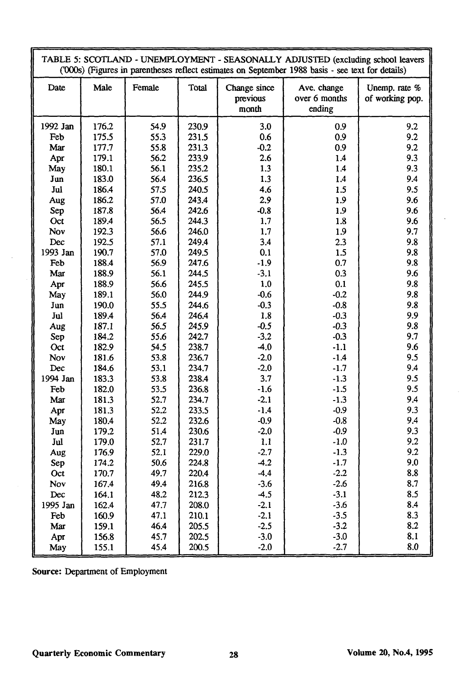| TABLE 5: SCOTLAND - UNEMPLOYMENT - SEASONALLY ADJUSTED (excluding school leavers<br>('000s) (Figures in parentheses reflect estimates on September 1988 basis - see text for details) |                |              |                |                                   |                                        |                                  |  |  |
|---------------------------------------------------------------------------------------------------------------------------------------------------------------------------------------|----------------|--------------|----------------|-----------------------------------|----------------------------------------|----------------------------------|--|--|
| Male<br>Date                                                                                                                                                                          |                | Female       | Total          | Change since<br>previous<br>month | Ave. change<br>over 6 months<br>ending | Unemp. rate %<br>of working pop. |  |  |
| 1992 Jan                                                                                                                                                                              | 176.2          | 54.9         | 230.9          | 3.0                               | 0.9                                    | 9.2                              |  |  |
| Feb                                                                                                                                                                                   | 175.5          | 55.3         | 231.5          | 0.6                               | 0.9                                    | 9.2                              |  |  |
| Mar                                                                                                                                                                                   | 177.7          | 55.8         | 231.3          | $-0.2$                            | 0.9                                    | 9.2                              |  |  |
| Apr                                                                                                                                                                                   | 179.1          | 56.2         | 233.9          | 2.6                               | 1.4                                    | 9.3                              |  |  |
| May                                                                                                                                                                                   | 180.1          | 56.1         | 235.2          | 1.3                               | 1.4                                    | 9.3                              |  |  |
| Jun                                                                                                                                                                                   | 183.0          | 56.4         | 236.5          | 1.3                               | 1.4                                    | 9.4                              |  |  |
| Jul                                                                                                                                                                                   | 186.4          | 57.5         | 240.5          | 4.6                               | 1.5                                    | 9.5                              |  |  |
| Aug                                                                                                                                                                                   | 186.2          | 57.0         | 243.4          | 2.9                               | 1.9                                    | 9.6                              |  |  |
| Sep                                                                                                                                                                                   | 187.8          | 56.4         | 242.6          | $-0.8$                            | 1.9                                    | 9.6                              |  |  |
| Oct                                                                                                                                                                                   | 189.4          | 56.5         | 244.3          | 1.7                               | 1.8                                    | 9.6                              |  |  |
| Nov                                                                                                                                                                                   | 192.3          | 56.6         | 246.0          | 1.7                               | 1.9                                    | 9.7                              |  |  |
| Dec                                                                                                                                                                                   | 192.5          | 57.1         | 249.4          | 3.4                               | 2.3                                    | 9.8                              |  |  |
| 1993 Jan                                                                                                                                                                              | 190.7          | 57.0         | 249.5          | 0.1                               | 1.5                                    | 9.8                              |  |  |
| Feb                                                                                                                                                                                   | 188.4          | 56.9         | 247.6          | $-1.9$                            | 0.7                                    | 9.8                              |  |  |
| Mar                                                                                                                                                                                   | 188.9          | 56.1<br>56.6 | 244.5          | $-3.1$                            | 0.3                                    | 9.6<br>9.8                       |  |  |
| Apr<br>May                                                                                                                                                                            | 188.9<br>189.1 | 56.0         | 245.5<br>244.9 | 1.0<br>$-0.6$                     | 0.1<br>$-0.2$                          | 9.8                              |  |  |
| Jun                                                                                                                                                                                   | 190.0          | 55.5         | 244.6          | $-0.3$                            | $-0.8$                                 | 9.8                              |  |  |
| Jul                                                                                                                                                                                   | 189.4          | 56.4         | 246.4          | 1.8                               | $-0.3$                                 | 9.9                              |  |  |
| Aug                                                                                                                                                                                   | 187.1          | 56.5         | 245.9          | $-0.5$                            | $-0.3$                                 | 9.8                              |  |  |
| Sep                                                                                                                                                                                   | 184.2          | 55.6         | 242.7          | $-3.2$                            | $-0.3$                                 | 9.7                              |  |  |
| Oct                                                                                                                                                                                   | 182.9          | 54.5         | 238.7          | $-4.0$                            | $-1.1$                                 | 9.6                              |  |  |
| Nov                                                                                                                                                                                   | 181.6          | 53.8         | 236.7          | $-2.0$                            | $-1.4$                                 | 9.5                              |  |  |
| Dec                                                                                                                                                                                   | 184.6          | 53.1         | 234.7          | $-2.0$                            | $-1.7$                                 | 9,4                              |  |  |
| 1994 Jan                                                                                                                                                                              | 183.3          | 53.8         | 238.4          | 3.7                               | $-1.3$                                 | 9.5                              |  |  |
| Feb                                                                                                                                                                                   | 182.0          | 53.5         | 236.8          | $-1.6$                            | $-1.5$                                 | 9.5                              |  |  |
| Mar                                                                                                                                                                                   | 181.3          | 52.7         | 234.7          | $-2.1$                            | $-1.3$                                 | 9.4                              |  |  |
| Apr                                                                                                                                                                                   | 181.3          | 52.2         | 233.5          | $-1.4$                            | $-0.9$                                 | 9.3                              |  |  |
| May                                                                                                                                                                                   | 180.4          | 52.2         | 232.6          | $-0.9$                            | $-0.8$                                 | 9.4                              |  |  |
| Jun                                                                                                                                                                                   | 179.2          | 51.4         | 230.6          | $-2.0$                            | $-0.9$                                 | 9.3                              |  |  |
| Jul                                                                                                                                                                                   | 179.0          | 52.7         | 231.7          | 1.1                               | $-1.0$                                 | 9.2                              |  |  |
| Aug                                                                                                                                                                                   | 176.9          | 52.1         | 229.0          | $-2.7$                            | $-1.3$                                 | 9.2                              |  |  |
| Sep                                                                                                                                                                                   | 174.2          | 50.6         | 224.8          | $-4.2$                            | $-1.7$                                 | 9.0                              |  |  |
| Oct                                                                                                                                                                                   | 170.7          | 49.7         | 220.4          | $-4.4$                            | $-2.2$                                 | 8.8                              |  |  |
| Nov                                                                                                                                                                                   | 167.4          | 49.4         | 216.8          | $-3.6$                            | $-2.6$                                 | 8.7                              |  |  |
| Dec                                                                                                                                                                                   | 164.1          | 48.2         | 212.3          | $-4.5$                            | $-3.1$                                 | 8.5                              |  |  |
| 1995 Jan                                                                                                                                                                              | 162.4          | 47.7         | 208.0          | $-2.1$                            | $-3.6$                                 | 8.4                              |  |  |
| Feb                                                                                                                                                                                   | 160.9          | 47.1         | 210.1          | $-2.1$                            | $-3.5$                                 | 8.3                              |  |  |
| Mar                                                                                                                                                                                   | 159.1          | 46.4         | 205.5          | $-2.5$                            | $-3.2$                                 | 8.2                              |  |  |
| Apr                                                                                                                                                                                   | 156.8          | 45.7         | 202.5          | $-3.0$                            | $-3.0$                                 | 8.1                              |  |  |
| May                                                                                                                                                                                   | 155.1          | 45.4         | 200.5          | $-2.0$                            | $-2.7$                                 | 8.0                              |  |  |

**Source:** Department of Employment